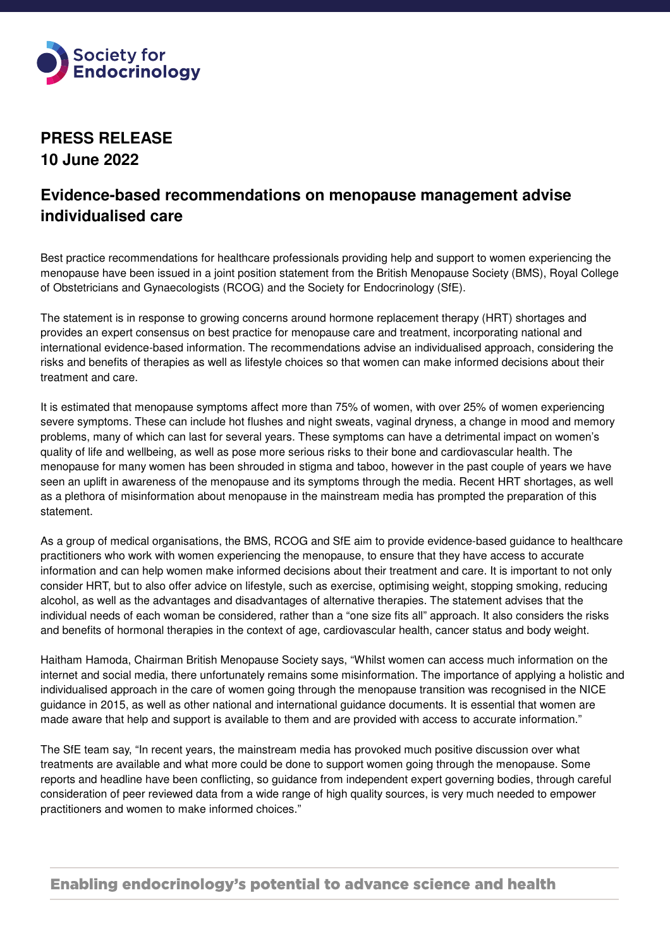

**PRESS RELEASE 10 June 2022** 

## **Evidence-based recommendations on menopause management advise individualised care**

Best practice recommendations for healthcare professionals providing help and support to women experiencing the menopause have been issued in a joint position statement from the British Menopause Society (BMS), Royal College of Obstetricians and Gynaecologists (RCOG) and the Society for Endocrinology (SfE).

The statement is in response to growing concerns around hormone replacement therapy (HRT) shortages and provides an expert consensus on best practice for menopause care and treatment, incorporating national and international evidence-based information. The recommendations advise an individualised approach, considering the risks and benefits of therapies as well as lifestyle choices so that women can make informed decisions about their treatment and care.

It is estimated that menopause symptoms affect more than 75% of women, with over 25% of women experiencing severe symptoms. These can include hot flushes and night sweats, vaginal dryness, a change in mood and memory problems, many of which can last for several years. These symptoms can have a detrimental impact on women's quality of life and wellbeing, as well as pose more serious risks to their bone and cardiovascular health. The menopause for many women has been shrouded in stigma and taboo, however in the past couple of years we have seen an uplift in awareness of the menopause and its symptoms through the media. Recent HRT shortages, as well as a plethora of misinformation about menopause in the mainstream media has prompted the preparation of this statement.

As a group of medical organisations, the BMS, RCOG and SfE aim to provide evidence-based guidance to healthcare practitioners who work with women experiencing the menopause, to ensure that they have access to accurate information and can help women make informed decisions about their treatment and care. It is important to not only consider HRT, but to also offer advice on lifestyle, such as exercise, optimising weight, stopping smoking, reducing alcohol, as well as the advantages and disadvantages of alternative therapies. The statement advises that the individual needs of each woman be considered, rather than a "one size fits all" approach. It also considers the risks and benefits of hormonal therapies in the context of age, cardiovascular health, cancer status and body weight.

Haitham Hamoda, Chairman British Menopause Society says, "Whilst women can access much information on the internet and social media, there unfortunately remains some misinformation. The importance of applying a holistic and individualised approach in the care of women going through the menopause transition was recognised in the NICE guidance in 2015, as well as other national and international guidance documents. It is essential that women are made aware that help and support is available to them and are provided with access to accurate information."

The SfE team say, "In recent years, the mainstream media has provoked much positive discussion over what treatments are available and what more could be done to support women going through the menopause. Some reports and headline have been conflicting, so guidance from independent expert governing bodies, through careful consideration of peer reviewed data from a wide range of high quality sources, is very much needed to empower practitioners and women to make informed choices."